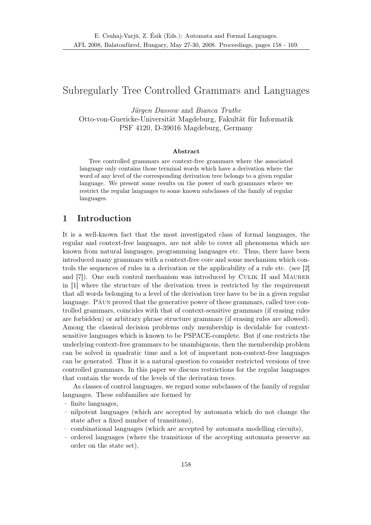# Subregularly Tree Controlled Grammars and Languages

Jürgen Dassow and Bianca Truthe Otto-von-Guericke-Universität Magdeburg, Fakultät für Informatik PSF 4120, D-39016 Magdeburg, Germany

#### Abstract

Tree controlled grammars are context-free grammars where the associated language only contains those terminal words which have a derivation where the word of any level of the corresponding derivation tree belongs to a given regular language. We present some results on the power of such grammars where we restrict the regular languages to some known subclasses of the family of regular languages.

## 1 Introduction

It is a well-known fact that the most investigated class of formal languages, the regular and context-free languages, are not able to cover all phenomena which are known from natural languages, programming languages etc. Thus, there have been introduced many grammars with a context-free core and some mechanism which controls the sequences of rules in a derivation or the applicability of a rule etc. (see [2] and [7]). One such control mechanism was introduced by Culik II and Maurer in [1] where the structure of the derivation trees is restricted by the requirement that all words belonging to a level of the derivation tree have to be in a given regular language. Păun proved that the generative power of these grammars, called tree controlled grammars, coincides with that of context-sensitive grammars (if erasing rules are forbidden) or arbitrary phrase structure grammars (if erasing rules are allowed). Among the classical decision problems only membership is decidable for contextsensitive languages which is known to be PSPACE-complete. But if one restricts the underlying context-free grammars to be unambiguous, then the membership problem can be solved in quadratic time and a lot of important non-context-free languages can be generated. Thus it is a natural question to consider restricted versions of tree controlled grammars. In this paper we discuss restrictions for the regular languages that contain the words of the levels of the derivation trees.

As classes of control languages, we regard some subclasses of the family of regular languages. These subfamilies are formed by

- finite languages,
- nilpotent languages (which are accepted by automata which do not change the state after a fixed number of transitions),
- combinational languages (which are accepted by automata modelling circuits),
- ordered languages (where the transitions of the accepting automata preserve an order on the state set),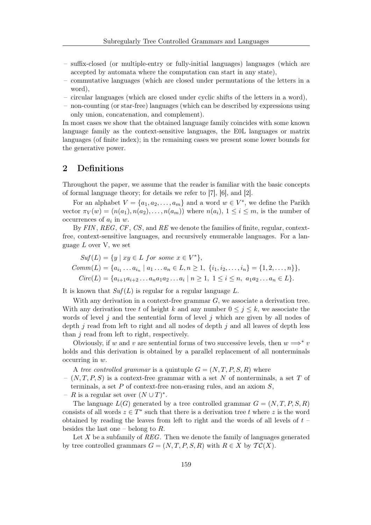- suffix-closed (or multiple-entry or fully-initial languages) languages (which are accepted by automata where the computation can start in any state),
- commutative languages (which are closed under permutations of the letters in a word),
- circular languages (which are closed under cyclic shifts of the letters in a word),
- non-counting (or star-free) languages (which can be described by expressions using only union, concatenation, and complement).

In most cases we show that the obtained language family coincides with some known language family as the context-sensitive languages, the E0L languages or matrix languages (of finite index); in the remaining cases we present some lower bounds for the generative power.

## 2 Definitions

Throughout the paper, we assume that the reader is familiar with the basic concepts of formal language theory; for details we refer to [7], [6], and [2].

For an alphabet  $V = \{a_1, a_2, \ldots, a_m\}$  and a word  $w \in V^*$ , we define the Parikh vector  $\pi_V(w) = (n(a_1), n(a_2), \ldots, n(a_m))$  where  $n(a_i), 1 \leq i \leq m$ , is the number of occurrences of  $a_i$  in  $w$ .

By FIN, REG, CF, CS, and RE we denote the families of finite, regular, contextfree, context-sensitive languages, and recursively enumerable languages. For a language  $L$  over V, we set

$$
Suf(L) = \{y \mid xy \in L \text{ for some } x \in V^*\},
$$
  
 
$$
Comm(L) = \{a_{i_1} \dots a_{i_n} \mid a_1 \dots a_n \in L, n \ge 1, \{i_1, i_2, \dots, i_n\} = \{1, 2, \dots, n\}\},
$$
  
 
$$
Circ(L) = \{a_{i+1}a_{i+2} \dots a_n a_1 a_2 \dots a_i \mid n \ge 1, 1 \le i \le n, \ a_1 a_2 \dots a_n \in L\}.
$$

It is known that  $Suf(L)$  is regular for a regular language L.

With any derivation in a context-free grammar  $G$ , we associate a derivation tree. With any derivation tree t of height k and any number  $0 \leq j \leq k$ , we associate the words of level j and the sentential form of level j which are given by all nodes of depth  $j$  read from left to right and all nodes of depth  $j$  and all leaves of depth less than j read from left to right, respectively.

Obviously, if w and v are sentential forms of two successive levels, then  $w \implies^* v$ holds and this derivation is obtained by a parallel replacement of all nonterminals occurring in w.

A tree controlled grammar is a quintuple  $G = (N, T, P, S, R)$  where

- $(N, T, P, S)$  is a context-free grammar with a set N of nonterminals, a set T of terminals, a set  $P$  of context-free non-erasing rules, and an axiom  $S$ ,
- $R$  is a regular set over  $(N \cup T)^*$ .

The language  $L(G)$  generated by a tree controlled grammar  $G = (N, T, P, S, R)$ consists of all words  $z \in T^*$  such that there is a derivation tree t where z is the word obtained by reading the leaves from left to right and the words of all levels of  $t$  – besides the last one – belong to  $R$ .

Let  $X$  be a subfamily of  $REG$ . Then we denote the family of languages generated by tree controlled grammars  $G = (N, T, P, S, R)$  with  $R \in X$  by  $TC(X)$ .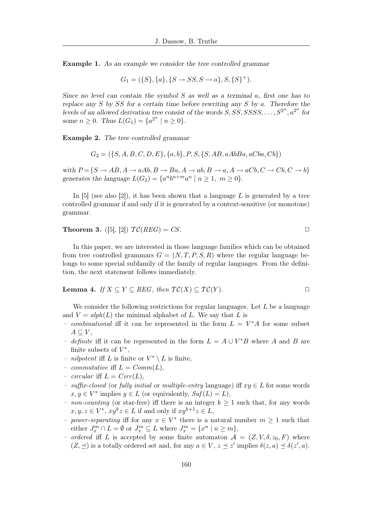Example 1. As an example we consider the tree controlled grammar

$$
G_1 = (\{S\}, \{a\}, \{S \to SS, S \to a\}, S, \{S\}^+).
$$

Since no level can contain the symbol  $S$  as well as a terminal  $a$ , first one has to replace any  $S$  by  $SS$  for a certain time before rewriting any  $S$  by  $a$ . Therefore the levels of an allowed derivation tree consist of the words  $S, SS, SSSS, \ldots, S^{2^n}, a^{2^n}$  for some  $n \ge 0$ . Thus  $L(G_1) = \{a^{2^n} \mid n \ge 0\}$ .

Example 2. The tree controlled grammar

 $G_2 = (\{S, A, B, C, D, E\}, \{a, b\}, P, S, \{S, AB, aAbBa, aCba, Cb\})$ 

with  $P = \{S \rightarrow AB, A \rightarrow aAb, B \rightarrow Ba, A \rightarrow ab, B \rightarrow a, A \rightarrow aCb, C \rightarrow Cb, C \rightarrow b\}$ generates the language  $L(G_2) = \{a^n b^{n+m} a^n \mid n \ge 1, m \ge 0\}.$ 

In [5] (see also [2]), it has been shown that a language L is generated by a tree controlled grammar if and only if it is generated by a context-sensitive (or monotone) grammar.

**Theorem 3.** ([5], [2])  $TC(REG) = CS$ .

In this paper, we are interested in those language families which can be obtained from tree controlled grammars  $G = (N, T, P, S, R)$  where the regular language belongs to some special subfamily of the family of regular languages. From the definition, the next statement follows immediately.

**Lemma 4.** If 
$$
X \subseteq Y \subseteq REG
$$
, then  $TC(X) \subseteq TC(Y)$ .

We consider the following restrictions for regular languages. Let  $L$  be a language and  $V = alph(L)$  the minimal alphabet of L. We say that L is

- combinational iff it can be represented in the form  $L = V^*A$  for some subset  $A \subseteq V$ ,
- definite iff it can be represented in the form  $L = A \cup V^*B$  where A and B are finite subsets of  $V^*$ ,
- *nilpotent* iff L is finite or  $V^* \setminus L$  is finite,
- commutative iff  $L = Comm(L)$ ,
- circular iff  $L = Circ(L)$ ,
- suffix-closed (or fully initial or multiple-entry language) iff xy ∈ L for some words  $x, y \in V^*$  implies  $y \in L$  (or equivalently,  $Suf(L) = L$ ),
- non-counting (or star-free) iff there is an integer  $k \geq 1$  such that, for any words  $x, y, z \in V^*, xy^k z \in L$  if and only if  $xy^{k+1}z \in L$ ,
- *power-separating* iff for any  $x \in V^*$  there is a natural number  $m \geq 1$  such that either  $J_x^m \cap L = \emptyset$  or  $J_x^m \subseteq L$  where  $J_x^m = \{x^n \mid n \ge m\},$
- ordered iff L is accepted by some finite automaton  $\mathcal{A} = (Z, V, \delta, z_0, F)$  where  $(Z, \preceq)$  is a totally ordered set and, for any  $a \in V$ ,  $z \preceq z'$  implies  $\delta(z, a) \preceq \delta(z', a)$ .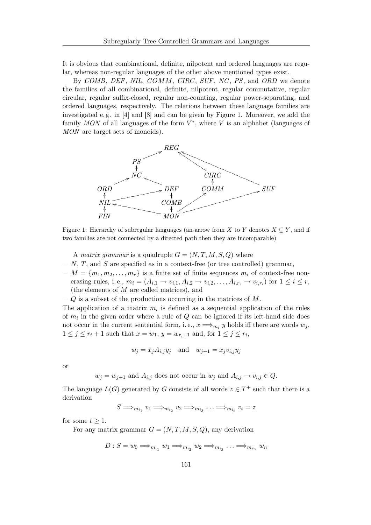It is obvious that combinational, definite, nilpotent and ordered languages are regular, whereas non-regular languages of the other above mentioned types exist.

By COMB, DEF, NIL, COMM, CIRC, SUF, NC, PS, and ORD we denote the families of all combinational, definite, nilpotent, regular commutative, regular circular, regular suffix-closed, regular non-counting, regular power-separating, and ordered languages, respectively. The relations between these language families are investigated e. g. in [4] and [8] and can be given by Figure 1. Moreover, we add the family  $MON$  of all languages of the form  $V^*$ , where V is an alphabet (languages of MON are target sets of monoids).



Figure 1: Hierarchy of subregular languages (an arrow from X to Y denotes  $X \subseteq Y$ , and if two families are not connected by a directed path then they are incomparable)

A matrix grammar is a quadruple  $G = (N, T, M, S, Q)$  where

- N, T, and S are specified as in a context-free (or tree controlled) grammar,
- $M = \{m_1, m_2, \ldots, m_r\}$  is a finite set of finite sequences  $m_i$  of context-free nonerasing rules, i.e.,  $m_i = (A_{i,1} \rightarrow v_{i,1}, A_{i,2} \rightarrow v_{i,2}, \ldots, A_{i,r_i} \rightarrow v_{i,r_i})$  for  $1 \leq i \leq r$ , (the elements of M are called matrices), and
- $Q$  is a subset of the productions occurring in the matrices of M.

The application of a matrix  $m_i$  is defined as a sequential application of the rules of  $m_i$  in the given order where a rule of  $Q$  can be ignored if its left-hand side does not occur in the current sentential form, i.e.,  $x \Longrightarrow_{m_i} y$  holds iff there are words  $w_j$ ,  $1 \leq j \leq r_i + 1$  such that  $x = w_1$ ,  $y = w_{r_i+1}$  and, for  $1 \leq j \leq r_i$ ,

$$
w_j = x_j A_{i,j} y_j
$$
 and  $w_{j+1} = x_j v_{i,j} y_j$ 

or

 $w_j = w_{j+1}$  and  $A_{i,j}$  does not occur in  $w_j$  and  $A_{i,j} \to v_{i,j} \in Q$ .

The language  $L(G)$  generated by G consists of all words  $z \in T^+$  such that there is a derivation

 $S \Longrightarrow_{m_{i_1}} v_1 \Longrightarrow_{m_{i_2}} v_2 \Longrightarrow_{m_{i_3}} \ldots \Longrightarrow_{m_{i_t}} v_t = z$ 

for some  $t \geq 1$ .

For any matrix grammar  $G = (N, T, M, S, Q)$ , any derivation

$$
D: S = w_0 \Longrightarrow_{m_{i_1}} w_1 \Longrightarrow_{m_{i_2}} w_2 \Longrightarrow_{m_{i_3}} \ldots \Longrightarrow_{m_{i_n}} w_n
$$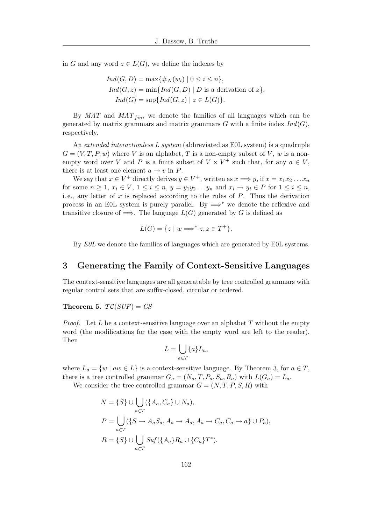in G and any word  $z \in L(G)$ , we define the indexes by

$$
Ind(G, D) = \max\{\#_N(w_i) \mid 0 \le i \le n\},
$$
  
\n
$$
Ind(G, z) = \min\{Ind(G, D) \mid D \text{ is a derivation of } z\},
$$
  
\n
$$
Ind(G) = \sup\{Ind(G, z) \mid z \in L(G)\}.
$$

By  $MAT$  and  $MAT<sub>fin</sub>$ , we denote the families of all languages which can be generated by matrix grammars and matrix grammars  $G$  with a finite index  $Ind(G)$ , respectively.

An extended interactionless L system (abbreviated as E0L system) is a quadruple  $G = (V, T, P, w)$  where V is an alphabet, T is a non-empty subset of V, w is a nonempty word over V and P is a finite subset of  $V \times V^+$  such that, for any  $a \in V$ , there is at least one element  $a \rightarrow v$  in P.

We say that  $x \in V^+$  directly derives  $y \in V^+$ , written as  $x \Longrightarrow y$ , if  $x = x_1 x_2 \dots x_n$ for some  $n \geq 1$ ,  $x_i \in V$ ,  $1 \leq i \leq n$ ,  $y = y_1y_2...y_n$  and  $x_i \to y_i \in P$  for  $1 \leq i \leq n$ , i.e., any letter of x is replaced according to the rules of  $P$ . Thus the derivation process in an E0L system is purely parallel. By  $\implies^*$  we denote the reflexive and transitive closure of  $\implies$ . The language  $L(G)$  generated by G is defined as

$$
L(G) = \{ z \mid w \Longrightarrow^* z, z \in T^+ \}.
$$

By E0L we denote the families of languages which are generated by E0L systems.

## 3 Generating the Family of Context-Sensitive Languages

The context-sensitive languages are all generatable by tree controlled grammars with regular control sets that are suffix-closed, circular or ordered.

Theorem 5.  $TC(SUF) = CS$ 

*Proof.* Let  $L$  be a context-sensitive language over an alphabet  $T$  without the empty word (the modifications for the case with the empty word are left to the reader). Then

$$
L = \bigcup_{a \in T} \{a\} L_a,
$$

where  $L_a = \{w \mid aw \in L\}$  is a context-sensitive language. By Theorem 3, for  $a \in T$ , there is a tree controlled grammar  $G_a = (N_a, T, P_a, S_a, R_a)$  with  $L(G_a) = L_a$ .

We consider the tree controlled grammar  $G = (N, T, P, S, R)$  with

$$
N = \{S\} \cup \bigcup_{a \in T} (\{A_a, C_a\} \cup N_a),
$$
  
\n
$$
P = \bigcup_{a \in T} (\{S \to A_a S_a, A_a \to A_a, A_a \to C_a, C_a \to a\} \cup P_a),
$$
  
\n
$$
R = \{S\} \cup \bigcup_{a \in T} Suf(\{A_a\} R_a \cup \{C_a\} T^*).
$$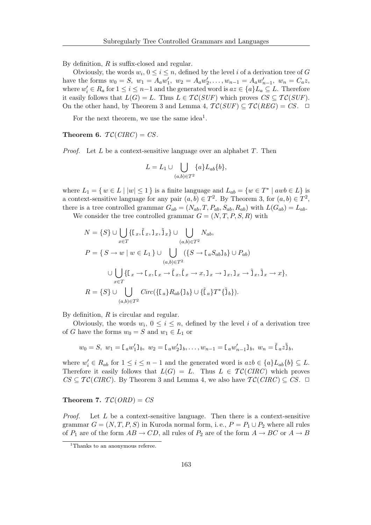By definition, R is suffix-closed and regular.

Obviously, the words  $w_i, 0 \leq i \leq n$ , defined by the level i of a derivation tree of G have the forms  $w_0 = S$ ,  $w_1 = A_a w_1'$ ,  $w_2 = A_a w_2'$ , ...,  $w_{n-1} = A_a w_{n-1}'$ ,  $w_n = C_a z$ , where  $w'_i \in R_a$  for  $1 \leq i \leq n-1$  and the generated word is  $az \in \{a\}L_a \subseteq L$ . Therefore it easily follows that  $L(G) = L$ . Thus  $L \in \mathcal{TC}(SUF)$  which proves  $CS \subseteq \mathcal{TC}(SUF)$ . On the other hand, by Theorem 3 and Lemma 4,  $TC(SUF) \subset TC(REG) = CS$ .  $\Box$ 

For the next theorem, we use the same idea<sup>1</sup>.

Theorem 6.  $TC(CIRC) = CS$ .

*Proof.* Let  $L$  be a context-sensitive language over an alphabet  $T$ . Then

$$
L = L_1 \cup \bigcup_{(a,b)\in T^2} \{a\} L_{ab}\{b\},\
$$

where  $L_1 = \{ w \in L \mid |w| \leq 1 \}$  is a finite language and  $L_{ab} = \{ w \in T^* \mid awb \in L \}$  is a context-sensitive language for any pair  $(a, b) \in T^2$ . By Theorem 3, for  $(a, b) \in T^2$ , there is a tree controlled grammar  $G_{ab} = (N_{ab}, T, P_{ab}, S_{ab}, R_{ab})$  with  $L(G_{ab}) = L_{ab}$ .

We consider the tree controlled grammar  $G = (N, T, P, S, R)$  with

$$
N = \{S\} \cup \bigcup_{x \in T} \{[\mathbf{I}_x, \tilde{\mathbf{I}}_x, \mathbf{I}_x, \tilde{\mathbf{I}}_x] \cup \bigcup_{(a,b) \in T^2} N_{ab},
$$
  
\n
$$
P = \{S \rightarrow w \mid w \in L_1\} \cup \bigcup_{(a,b) \in T^2} (\{S \rightarrow \mathbf{I}_a S_{ab} \mathbf{I}_b\} \cup P_{ab})
$$
  
\n
$$
\cup \bigcup_{x \in T} \{\mathbf{I}_x \rightarrow \mathbf{I}_x, \mathbf{I}_x \rightarrow \tilde{\mathbf{I}}_x, \tilde{\mathbf{I}}_x \rightarrow x, \mathbf{I}_x \rightarrow \mathbf{I}_x, \mathbf{I}_x \rightarrow \tilde{\mathbf{I}}_x, \tilde{\mathbf{I}}_x \rightarrow x\},
$$
  
\n
$$
R = \{S\} \cup \bigcup_{(a,b) \in T^2} Circ(\{\mathbf{I}_a\} R_{ab}\{\mathbf{I}_b\} \cup \{\tilde{\mathbf{I}}_a\} T^*\{\tilde{\mathbf{I}}_b\}).
$$

By definition, R is circular and regular.

Obviously, the words  $w_i$ ,  $0 \leq i \leq n$ , defined by the level i of a derivation tree of G have the forms  $w_0 = S$  and  $w_1 \in L_1$  or

w<sup>0</sup> = S, w<sup>1</sup> =[ <sup>a</sup>w 0 <sup>1</sup>]b, w<sup>2</sup> =[ <sup>a</sup>w 0 <sup>2</sup>]b, . . . , wn−<sup>1</sup> =[ <sup>a</sup>w 0 <sup>n</sup>−1]b, w<sup>n</sup> <sup>=</sup> ˜[ <sup>a</sup><sup>z</sup> ˜]b,

where  $w'_i \in R_{ab}$  for  $1 \leq i \leq n-1$  and the generated word is  $azb \in \{a\}L_{ab}\{b\} \subseteq L$ . Therefore it easily follows that  $L(G) = L$ . Thus  $L \in \mathcal{TC}(CIRC)$  which proves  $CS \subseteq \mathcal{TC}(CIRC)$ . By Theorem 3 and Lemma 4, we also have  $\mathcal{TC}(CIRC) \subseteq CS$ .  $\Box$ 

### Theorem 7.  $TC(ORD) = CS$

*Proof.* Let  $L$  be a context-sensitive language. Then there is a context-sensitive grammar  $G = (N, T, P, S)$  in Kuroda normal form, i.e.,  $P = P_1 \cup P_2$  where all rules of  $P_1$  are of the form  $AB \to CD$ , all rules of  $P_2$  are of the form  $A \to BC$  or  $A \to B$ 

<sup>&</sup>lt;sup>1</sup>Thanks to an anonymous referee.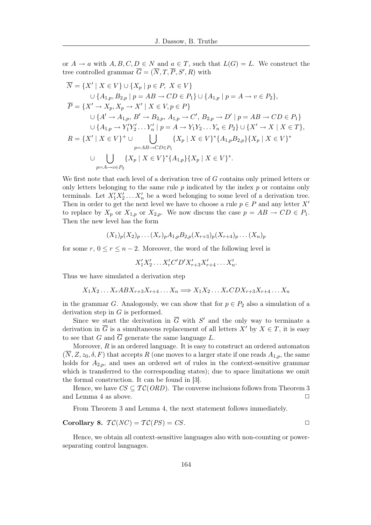or  $A \to a$  with  $A, B, C, D \in N$  and  $a \in T$ , such that  $L(G) = L$ . We construct the tree controlled grammar  $\overline{G} = (\overline{N}, T, \overline{P}, S', R)$  with

$$
\overline{N} = \{X' \mid X \in V\} \cup \{X_p \mid p \in P, X \in V\}
$$
  
\n
$$
\cup \{A_{1,p}, B_{2,p} \mid p = AB \to CD \in P_1\} \cup \{A_{1,p} \mid p = A \to v \in P_2\},
$$
  
\n
$$
\overline{P} = \{X' \to X_p, X_p \to X' \mid X \in V, p \in P\}
$$
  
\n
$$
\cup \{A' \to A_{1,p}, B' \to B_{2,p}, A_{1,p} \to C', B_{2,p} \to D' \mid p = AB \to CD \in P_1\}
$$
  
\n
$$
\cup \{A_{1,p} \to Y'_1 Y'_2 \dots Y'_n \mid p = A \to Y_1 Y_2 \dots Y_n \in P_2\} \cup \{X' \to X \mid X \in T\},
$$
  
\n
$$
R = \{X' \mid X \in V\}^+ \cup \bigcup_{p = AB \to CD \in P_1} \{X_p \mid X \in V\}^* \{A_{1,p} B_{2,p}\} \{X_p \mid X \in V\}^*
$$
  
\n
$$
\cup \bigcup_{p = A \to v \in P_2} \{X_p \mid X \in V\}^* \{A_{1,p}\} \{X_p \mid X \in V\}^*.
$$

We first note that each level of a derivation tree of G contains only primed letters or only letters belonging to the same rule  $p$  indicated by the index  $p$  or contains only terminals. Let  $X_1'X_2' \ldots X_n'$  be a word belonging to some level of a derivation tree. Then in order to get the next level we have to choose a rule  $p \in P$  and any letter X' to replace by  $X_p$  or  $X_{1,p}$  or  $X_{2,p}$ . We now discuss the case  $p = AB \rightarrow CD \in P_1$ . Then the new level has the form

$$
(X_1)_p(X_2)_p \ldots (X_r)_p A_{1,p} B_{2,p}(X_{r+3})_p(X_{r+4})_p \ldots (X_n)_p
$$

for some  $r, 0 \le r \le n-2$ . Moreover, the word of the following level is

$$
X_1'X_2' \dots X_r'C'D'X_{r+3}'X_{r+4}' \dots X_n'.
$$

Thus we have simulated a derivation step

$$
X_1 X_2 \dots X_r AB X_{r+3} X_{r+4} \dots X_n \Longrightarrow X_1 X_2 \dots X_r CD X_{r+3} X_{r+4} \dots X_n
$$

in the grammar G. Analogously, we can show that for  $p \in P_2$  also a simulation of a derivation step in  $G$  is performed.

Since we start the derivation in  $\overline{G}$  with  $S'$  and the only way to terminate a derivation in  $\overline{G}$  is a simultaneous replacement of all letters  $X'$  by  $X \in T$ , it is easy to see that G and  $\overline{G}$  generate the same language L.

Moreover,  $R$  is an ordered language. It is easy to construct an ordered automaton  $(\overline{N}, Z, z_0, \delta, F)$  that accepts R (one moves to a larger state if one reads  $A_{1,p}$ , the same holds for  $A_{2,p}$ , and uses an ordered set of rules in the context-sensitive grammar which is transferred to the corresponding states); due to space limitations we omit the formal construction. It can be found in [3].

Hence, we have  $CS \subseteq \mathcal{TC}(ORD)$ . The converse inclusions follows from Theorem 3 and Lemma 4 as above.  $\Box$ 

From Theorem 3 and Lemma 4, the next statement follows immediately.

Corollary 8. 
$$
TC(NC) = TC(PS) = CS
$$
.

Hence, we obtain all context-sensitive languages also with non-counting or powerseparating control languages.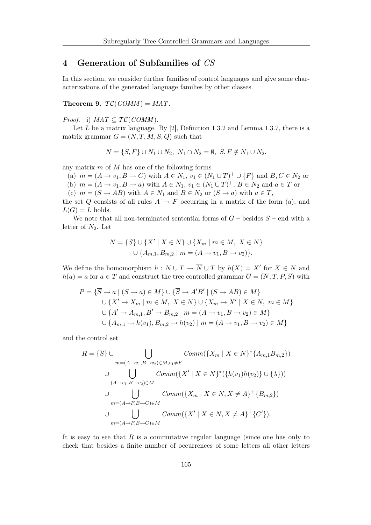# 4 Generation of Subfamilies of CS

In this section, we consider further families of control languages and give some characterizations of the generated language families by other classes.

Theorem 9.  $TC(COMM) = MAT$ .

*Proof.* i)  $MAT \subseteq TC(COMM)$ .

Let  $L$  be a matrix language. By [2], Definition 1.3.2 and Lemma 1.3.7, there is a matrix grammar  $G = (N, T, M, S, Q)$  such that

$$
N = \{S, F\} \cup N_1 \cup N_2, N_1 \cap N_2 = \emptyset, S, F \notin N_1 \cup N_2,
$$

any matrix  $m$  of  $M$  has one of the following forms

(a)  $m = (A \rightarrow v_1, B \rightarrow C)$  with  $A \in N_1$ ,  $v_1 \in (N_1 \cup T)^+ \cup \{F\}$  and  $B, C \in N_2$  or

(b)  $m = (A \rightarrow v_1, B \rightarrow a)$  with  $A \in N_1$ ,  $v_1 \in (N_1 \cup T)^+$ ,  $B \in N_2$  and  $a \in T$  or

(c)  $m = (S \rightarrow AB)$  with  $A \in N_1$  and  $B \in N_2$  or  $(S \rightarrow a)$  with  $a \in T$ ,

the set Q consists of all rules  $A \rightarrow F$  occurring in a matrix of the form (a), and  $L(G) = L$  holds.

We note that all non-terminated sentential forms of  $G$  – besides  $S$  – end with a letter of  $N_2$ . Let

$$
\overline{N} = \{\overline{S}\} \cup \{X' \mid X \in N\} \cup \{X_m \mid m \in M, X \in N\}
$$
  

$$
\cup \{A_{m,1}, B_{m,2} \mid m = (A \rightarrow v_1, B \rightarrow v_2)\}.
$$

We define the homomorphism  $h: N \cup T \to \overline{N} \cup T$  by  $h(X) = X'$  for  $X \in N$  and  $h(a) = a$  for  $a \in T$  and construct the tree controlled grammar  $\overline{G} = (\overline{N}, T, P, \overline{S})$  with

$$
P = \{ \overline{S} \to a \mid (S \to a) \in M \} \cup \{ \overline{S} \to A'B' \mid (S \to AB) \in M \}
$$
  

$$
\cup \{ X' \to X_m \mid m \in M, X \in N \} \cup \{ X_m \to X' \mid X \in N, m \in M \}
$$
  

$$
\cup \{ A' \to A_{m,1}, B' \to B_{m,2} \mid m = (A \to v_1, B \to v_2) \in M \}
$$
  

$$
\cup \{ A_{m,1} \to h(v_1), B_{m,2} \to h(v_2) \mid m = (A \to v_1, B \to v_2) \in M \}
$$

and the control set

$$
R = \{\overline{S}\} \cup \bigcup_{m=(A \to v_1, B \to v_2) \in M, v_1 \neq F} \text{Comm}(\{X_m \mid X \in N\}^*\{A_{m,1}B_{m,2}\})
$$
\n
$$
\cup \bigcup_{(A \to v_1, B \to v_2) \in M} \text{Comm}(\{X' \mid X \in N\}^*\{\{h(v_1)h(v_2)\} \cup \{\lambda\})\})
$$
\n
$$
= (A \to v_1, B \to C) \in M \text{Comm}(\{X_m \mid X \in N, X \neq A\}^+\{B_{m,2}\})
$$
\n
$$
\cup \bigcup_{m=(A \to F, B \to C) \in M} \text{Comm}(\{X' \mid X \in N, X \neq A\}^+\{C'\}).
$$

It is easy to see that  $R$  is a commutative regular language (since one has only to check that besides a finite number of occurrences of some letters all other letters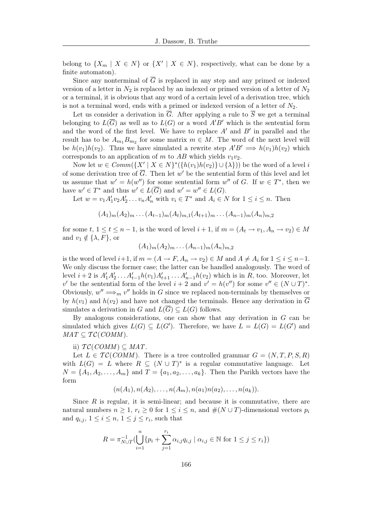belong to  $\{X_m \mid X \in N\}$  or  $\{X' \mid X \in N\}$ , respectively, what can be done by a finite automaton).

Since any nonterminal of  $\overline{G}$  is replaced in any step and any primed or indexed version of a letter in  $N_2$  is replaced by an indexed or primed version of a letter of  $N_2$ or a terminal, it is obvious that any word of a certain level of a derivation tree, which is not a terminal word, ends with a primed or indexed version of a letter of  $N_2$ .

Let us consider a derivation in  $\overline{G}$ . After applying a rule to  $\overline{S}$  we get a terminal belonging to  $L(\overline{G})$  as well as to  $L(G)$  or a word  $A'B'$  which is the sentential form and the word of the first level. We have to replace  $A'$  and  $B'$  in parallel and the result has to be  $A_{m_1}B_{m_2}$  for some matrix  $m \in M$ . The word of the next level will be  $h(v_1)h(v_2)$ . Thus we have simulated a rewrite step  $A'B' \implies h(v_1)h(v_2)$  which corresponds to an application of m to  $AB$  which yields  $v_1v_2$ .

Now let  $w \in Comm({X' | X \in N}^*({h(v_1)h(v_2)} \cup {\lambda}))$  be the word of a level i of some derivation tree of  $\overline{G}$ . Then let w' be the sentential form of this level and let us assume that  $w' = h(w'')$  for some sentential form  $w''$  of G. If  $w \in T^*$ , then we have  $w' \in T^*$  and thus  $w' \in L(\overline{G})$  and  $w' = w'' \in L(G)$ .

Let  $w = v_1 A'_1 v_2 A'_2 \dots v_n A'_n$  with  $v_i \in T^*$  and  $A_i \in N$  for  $1 \le i \le n$ . Then

$$
(A_1)m(A_2)m... (A_{t-1})m(A_t)m,1(A_{t+1})m... (A_{n-1})m(A_n)m,2
$$

for some t,  $1 \le t \le n-1$ , is the word of level  $i+1$ , if  $m = (A_t \rightarrow v_1, A_n \rightarrow v_2) \in M$ and  $v_1 \notin {\lambda, F}$ , or

$$
(A_1)m(A_2)m... (A_{n-1})m(A_n)m,2
$$

is the word of level  $i+1$ , if  $m = (A \rightarrow F, A_n \rightarrow v_2) \in M$  and  $A \neq A_i$  for  $1 \leq i \leq n-1$ . We only discuss the former case; the latter can be handled analogously. The word of level  $i+2$  is  $A'_1A'_2 \ldots A'_{t-1}h(v_1)A'_{t+1} \ldots A'_{n-1}h(v_2)$  which is in R, too. Moreover, let v' be the sentential form of the level  $i + 2$  and  $v' = h(v'')$  for some  $v'' \in (N \cup T)^*$ . Obviously,  $w'' \Longrightarrow_m v''$  holds in G since we replaced non-terminals by themselves or by  $h(v_1)$  and  $h(v_2)$  and have not changed the terminals. Hence any derivation in  $\overline{G}$ simulates a derivation in G and  $L(\overline{G}) \subseteq L(G)$  follows.

By analogous considerations, one can show that any derivation in G can be simulated which gives  $L(G) \subseteq L(G')$ . Therefore, we have  $L = L(G) = L(G')$  and  $MAT \subseteq \mathcal{TC}(COMM).$ 

### ii)  $TC(COMM) \subseteq MAT$ .

Let  $L \in \mathcal{TC}(COMM)$ . There is a tree controlled grammar  $G = (N, T, P, S, R)$ with  $L(G) = L$  where  $R \subseteq (N \cup T)^*$  is a regular commutative language. Let  $N = \{A_1, A_2, \ldots, A_m\}$  and  $T = \{a_1, a_2, \ldots, a_k\}$ . Then the Parikh vectors have the form

$$
(n(A_1), n(A_2), \ldots, n(A_m), n(a_1)n(a_2), \ldots, n(a_k)).
$$

Since  $R$  is regular, it is semi-linear; and because it is commutative, there are natural numbers  $n \geq 1$ ,  $r_i \geq 0$  for  $1 \leq i \leq n$ , and  $\#(N \cup T)$ -dimensional vectors  $p_i$ and  $q_{i,j}, 1 \leq i \leq n, 1 \leq j \leq r_i$ , such that

$$
R = \pi_{N \cup T}^{-1} \left( \bigcup_{i=1}^{n} \{ p_i + \sum_{j=1}^{r_i} \alpha_{i,j} q_{i,j} \mid \alpha_{i,j} \in \mathbb{N} \text{ for } 1 \le j \le r_i \} \right)
$$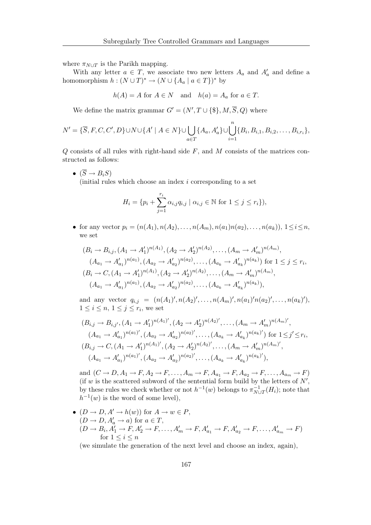where  $\pi_{N\cup T}$  is the Parikh mapping.

With any letter  $a \in T$ , we associate two new letters  $A_a$  and  $A'_a$  and define a homomorphism  $h: (N \cup T)^* \to (N \cup \{A_a \mid a \in T\})^*$  by

$$
h(A) = A
$$
 for  $A \in N$  and  $h(a) = A_a$  for  $a \in T$ .

We define the matrix grammar  $G' = (N', T \cup \{\$\}, M, \overline{S}, Q)$  where

$$
N' = \{\overline{S}, F, C, C', D\} \cup N \cup \{A' \mid A \in N\} \cup \bigcup_{a \in T} \{A_a, A'_a\} \cup \bigcup_{i=1}^n \{B_i, B_{i,1}, B_{i,2}, \ldots, B_{i,r_i}\},\
$$

 $Q$  consists of all rules with right-hand side  $F$ , and  $M$  consists of the matrices constructed as follows:

 $\bullet \ (\overline{S} \rightarrow B_i S)$ 

(initial rules which choose an index i corresponding to a set

$$
H_i = \{ p_i + \sum_{j=1}^{r_i} \alpha_{i,j} q_{i,j} \mid \alpha_{i,j} \in \mathbb{N} \text{ for } 1 \le j \le r_i \},
$$

• for any vector  $p_i = (n(A_1), n(A_2), \ldots, n(A_m), n(a_1) n(a_2), \ldots, n(a_k)), 1 \leq i \leq n$ , we set

$$
(B_i \to B_{i,j}, (A_1 \to A'_1)^{n(A_1)}, (A_2 \to A'_2)^{n(A_2)}, \dots, (A_m \to A'_m)^{n(A_m)},
$$
  
\n
$$
(A_{a_1} \to A'_{a_1})^{n(a_1)}, (A_{a_2} \to A'_{a_2})^{n(a_2)}, \dots, (A_{a_k} \to A'_{a_k})^{n(a_k)})
$$
 for  $1 \le j \le r_i$ ,  
\n
$$
(B_i \to C, (A_1 \to A'_1)^{n(A_1)}, (A_2 \to A'_2)^{n(A_2)}, \dots, (A_m \to A'_m)^{n(A_m)},
$$
  
\n
$$
(A_{a_1} \to A'_{a_1})^{n(a_1)}, (A_{a_2} \to A'_{a_2})^{n(a_2)}, \dots, (A_{a_k} \to A'_{a_k})^{n(a_k)}),
$$

and any vector  $q_{i,j} = (n(A_1)', n(A_2)', \ldots, n(A_m)', n(a_1)'n(a_2)', \ldots, n(a_k)'),$  $1 \leq i \leq n, 1 \leq j \leq r_i$ , we set

$$
(B_{i,j} \to B_{i,j'}, (A_1 \to A'_1)^{n(A_1)'}, (A_2 \to A'_2)^{n(A_2)'}, \dots, (A_m \to A'_m)^{n(A_m)'},
$$
  
\n
$$
(A_{a_1} \to A'_{a_1})^{n(a_1)'}, (A_{a_2} \to A'_{a_2})^{n(a_2)'}, \dots, (A_{a_k} \to A'_{a_k})^{n(a_k)'} \text{ for } 1 \le j' \le r_i,
$$
  
\n
$$
(B_{i,j} \to C, (A_1 \to A'_1)^{n(A_1)'}, (A_2 \to A'_2)^{n(A_2)'}, \dots, (A_m \to A'_m)^{n(A_m)'},
$$
  
\n
$$
(A_{a_1} \to A'_{a_1})^{n(a_1)'}, (A_{a_2} \to A'_{a_2})^{n(a_2)'}, \dots, (A_{a_k} \to A'_{a_k})^{n(a_k)'},
$$

and  $(C \rightarrow D, A_1 \rightarrow F, A_2 \rightarrow F, \ldots, A_m \rightarrow F, A_{a_1} \rightarrow F, A_{a_2} \rightarrow F, \ldots, A_{a_m} \rightarrow F)$ (if w is the scattered subword of the sentential form build by the letters of  $N'$ , by these rules we check whether or not  $h^{-1}(w)$  belongs to  $\pi_{N_1}^{-1}$  $\overline{N} \cup T$  $(H_i)$ ; note that  $h^{-1}(w)$  is the word of some level),

•  $(D \to D, A' \to h(w))$  for  $A \to w \in P$ ,  $(D \to D, A'_a \to a)$  for  $a \in T$ ,  $(D \to B_i, A'_1 \to F, A'_2 \to F, \dots, A'_m \to F, A'_{a_1} \to F, A'_{a_2} \to F, \dots, A'_{a_m} \to F)$ for  $1 \leq i \leq n$ 

(we simulate the generation of the next level and choose an index, again),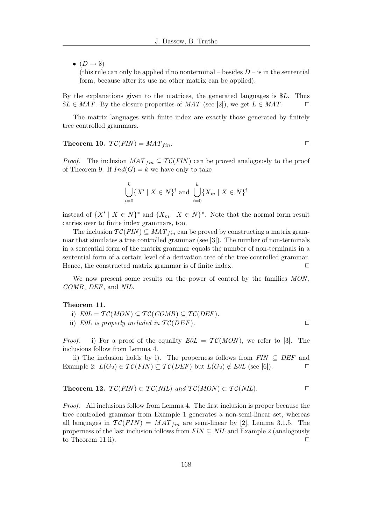$\bullet$   $(D \rightarrow \$)$ 

(this rule can only be applied if no nonterminal – besides  $D - i$  is in the sentential form, because after its use no other matrix can be applied).

By the explanations given to the matrices, the generated languages is \$L. Thus  $\$L \in MAT$ . By the closure properties of  $MAT$  (see [2]), we get  $L \in MAT$ .

The matrix languages with finite index are exactly those generated by finitely tree controlled grammars.

Theorem 10.  $TC(FIN) = MAT_{fin}$ .

*Proof.* The inclusion  $MAT_{fin} \subseteq TC(FIN)$  can be proved analogously to the proof of Theorem 9. If  $Ind(G) = k$  we have only to take

$$
\bigcup_{i=0}^{k} \{X' \mid X \in N\}^i
$$
 and 
$$
\bigcup_{i=0}^{k} \{X_m \mid X \in N\}^i
$$

instead of  $\{X' \mid X \in N\}^*$  and  $\{X_m \mid X \in N\}^*$ . Note that the normal form result carries over to finite index grammars, too.

The inclusion  $TC(FIN) \subseteq MAT_{fin}$  can be proved by constructing a matrix grammar that simulates a tree controlled grammar (see [3]). The number of non-terminals in a sentential form of the matrix grammar equals the number of non-terminals in a sentential form of a certain level of a derivation tree of the tree controlled grammar. Hence, the constructed matrix grammar is of finite index.  $\Box$ 

We now present some results on the power of control by the families MON, COMB, DEF, and NIL.

#### Theorem 11.

i)  $E0L = \mathcal{TC}(MON) \subseteq \mathcal{TC}(COMB) \subseteq \mathcal{TC}(DEF)$ .

ii) E0L is properly included in  $TC(DEF)$ .

*Proof.* i) For a proof of the equality  $E0L = \mathcal{TC}(MON)$ , we refer to [3]. The inclusions follow from Lemma 4.

ii) The inclusion holds by i). The properness follows from  $FIN \subseteq DEF$  and Example 2:  $L(G_2) \in \mathcal{TC}(FIN) \subseteq \mathcal{TC}(DEF)$  but  $L(G_2) \notin E0L$  (see [6]).

**Theorem 12.** 
$$
\mathcal{TC}(FIN) \subset \mathcal{TC}(NIL)
$$
 and  $\mathcal{TC}(MON) \subset \mathcal{TC}(NIL)$ .

Proof. All inclusions follow from Lemma 4. The first inclusion is proper because the tree controlled grammar from Example 1 generates a non-semi-linear set, whereas all languages in  $TC(FIN) = MAT_{fin}$  are semi-linear by [2], Lemma 3.1.5. The properness of the last inclusion follows from  $FIN \subseteq NIL$  and Example 2 (analogously to Theorem 11.ii).  $\Box$